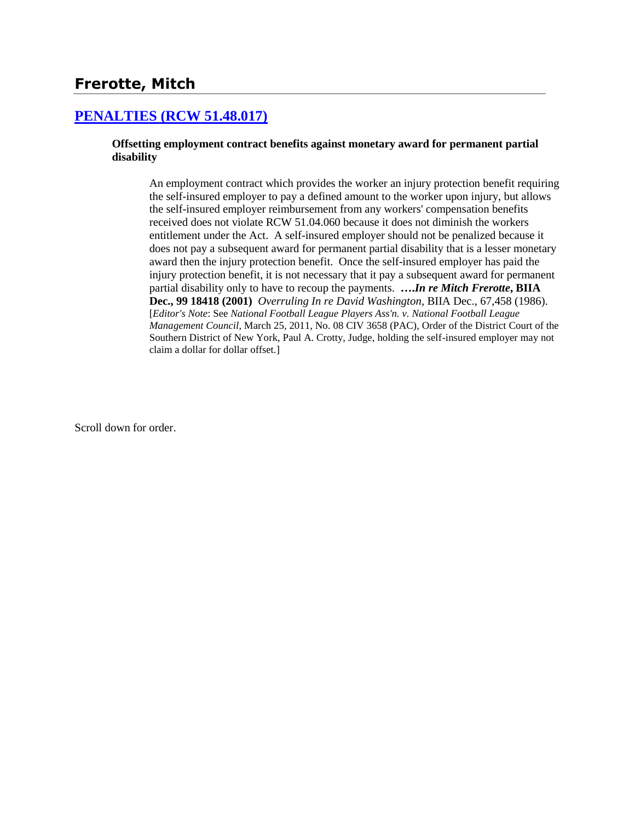# **Frerotte, Mitch**

### **[PENALTIES \(RCW 51.48.017\)](http://www.biia.wa.gov/SDSubjectIndex.html#PENALTIES)**

#### **Offsetting employment contract benefits against monetary award for permanent partial disability**

An employment contract which provides the worker an injury protection benefit requiring the self-insured employer to pay a defined amount to the worker upon injury, but allows the self-insured employer reimbursement from any workers' compensation benefits received does not violate RCW 51.04.060 because it does not diminish the workers entitlement under the Act. A self-insured employer should not be penalized because it does not pay a subsequent award for permanent partial disability that is a lesser monetary award then the injury protection benefit. Once the self-insured employer has paid the injury protection benefit, it is not necessary that it pay a subsequent award for permanent partial disability only to have to recoup the payments. **….***In re Mitch Frerotte***, BIIA Dec., 99 18418 (2001)** *Overruling In re David Washington*, BIIA Dec., 67,458 (1986). [*Editor's Note*: See *National Football League Players Ass'n. v. National Football League Management Council*, March 25, 2011, No. 08 CIV 3658 (PAC), Order of the District Court of the Southern District of New York, Paul A. Crotty, Judge, holding the self-insured employer may not claim a dollar for dollar offset.]

Scroll down for order.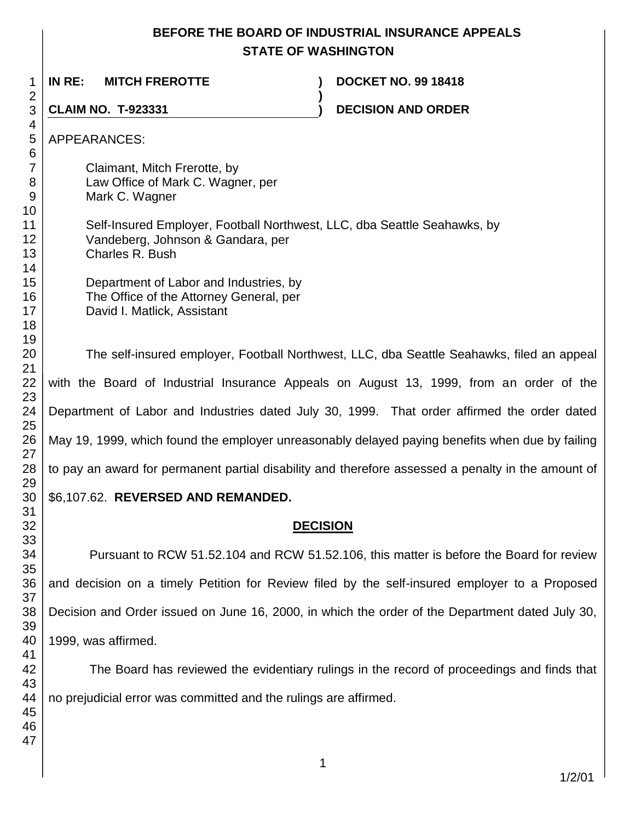## **BEFORE THE BOARD OF INDUSTRIAL INSURANCE APPEALS STATE OF WASHINGTON**

**)**

**IN RE: MITCH FREROTTE ) DOCKET NO. 99 18418**

**CLAIM NO. T-923331 ) DECISION AND ORDER** 

 

> Claimant, Mitch Frerotte, by Law Office of Mark C. Wagner, per Mark C. Wagner

Self-Insured Employer, Football Northwest, LLC, dba Seattle Seahawks, by Vandeberg, Johnson & Gandara, per Charles R. Bush

Department of Labor and Industries, by The Office of the Attorney General, per David I. Matlick, Assistant

The self-insured employer, Football Northwest, LLC, dba Seattle Seahawks, filed an appeal with the Board of Industrial Insurance Appeals on August 13, 1999, from an order of the Department of Labor and Industries dated July 30, 1999. That order affirmed the order dated May 19, 1999, which found the employer unreasonably delayed paying benefits when due by failing to pay an award for permanent partial disability and therefore assessed a penalty in the amount of

## \$6,107.62. **REVERSED AND REMANDED.**

# **DECISION**

Pursuant to RCW 51.52.104 and RCW 51.52.106, this matter is before the Board for review and decision on a timely Petition for Review filed by the self-insured employer to a Proposed Decision and Order issued on June 16, 2000, in which the order of the Department dated July 30, 1999, was affirmed.

The Board has reviewed the evidentiary rulings in the record of proceedings and finds that no prejudicial error was committed and the rulings are affirmed.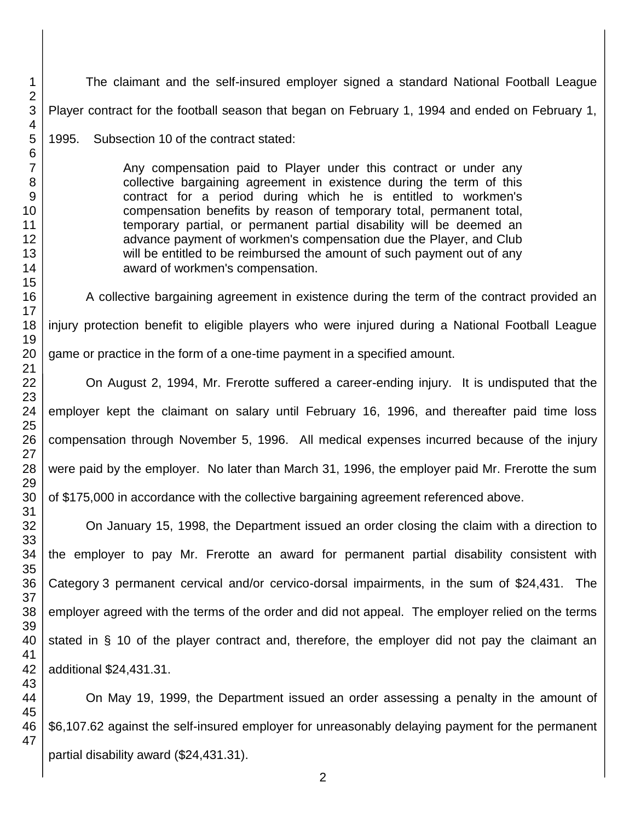The claimant and the self-insured employer signed a standard National Football League Player contract for the football season that began on February 1, 1994 and ended on February 1,

1995. Subsection 10 of the contract stated:

Any compensation paid to Player under this contract or under any collective bargaining agreement in existence during the term of this contract for a period during which he is entitled to workmen's compensation benefits by reason of temporary total, permanent total, temporary partial, or permanent partial disability will be deemed an advance payment of workmen's compensation due the Player, and Club will be entitled to be reimbursed the amount of such payment out of any award of workmen's compensation.

A collective bargaining agreement in existence during the term of the contract provided an injury protection benefit to eligible players who were injured during a National Football League game or practice in the form of a one-time payment in a specified amount.

On August 2, 1994, Mr. Frerotte suffered a career-ending injury. It is undisputed that the employer kept the claimant on salary until February 16, 1996, and thereafter paid time loss compensation through November 5, 1996. All medical expenses incurred because of the injury were paid by the employer. No later than March 31, 1996, the employer paid Mr. Frerotte the sum of \$175,000 in accordance with the collective bargaining agreement referenced above.

On January 15, 1998, the Department issued an order closing the claim with a direction to the employer to pay Mr. Frerotte an award for permanent partial disability consistent with Category 3 permanent cervical and/or cervico-dorsal impairments, in the sum of \$24,431. The employer agreed with the terms of the order and did not appeal. The employer relied on the terms stated in § 10 of the player contract and, therefore, the employer did not pay the claimant an additional \$24,431.31.

On May 19, 1999, the Department issued an order assessing a penalty in the amount of \$6,107.62 against the self-insured employer for unreasonably delaying payment for the permanent partial disability award (\$24,431.31).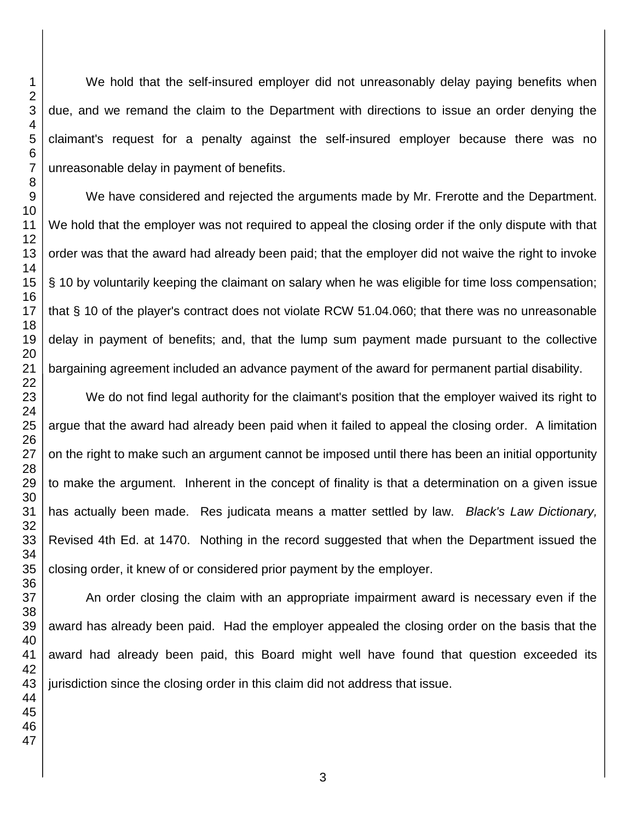We hold that the self-insured employer did not unreasonably delay paying benefits when due, and we remand the claim to the Department with directions to issue an order denying the claimant's request for a penalty against the self-insured employer because there was no unreasonable delay in payment of benefits.

We have considered and rejected the arguments made by Mr. Frerotte and the Department. We hold that the employer was not required to appeal the closing order if the only dispute with that order was that the award had already been paid; that the employer did not waive the right to invoke § 10 by voluntarily keeping the claimant on salary when he was eligible for time loss compensation; that § 10 of the player's contract does not violate RCW 51.04.060; that there was no unreasonable delay in payment of benefits; and, that the lump sum payment made pursuant to the collective bargaining agreement included an advance payment of the award for permanent partial disability.

We do not find legal authority for the claimant's position that the employer waived its right to argue that the award had already been paid when it failed to appeal the closing order. A limitation on the right to make such an argument cannot be imposed until there has been an initial opportunity to make the argument. Inherent in the concept of finality is that a determination on a given issue has actually been made. Res judicata means a matter settled by law. *Black's Law Dictionary,*  Revised 4th Ed. at 1470. Nothing in the record suggested that when the Department issued the closing order, it knew of or considered prior payment by the employer.

An order closing the claim with an appropriate impairment award is necessary even if the award has already been paid. Had the employer appealed the closing order on the basis that the award had already been paid, this Board might well have found that question exceeded its jurisdiction since the closing order in this claim did not address that issue.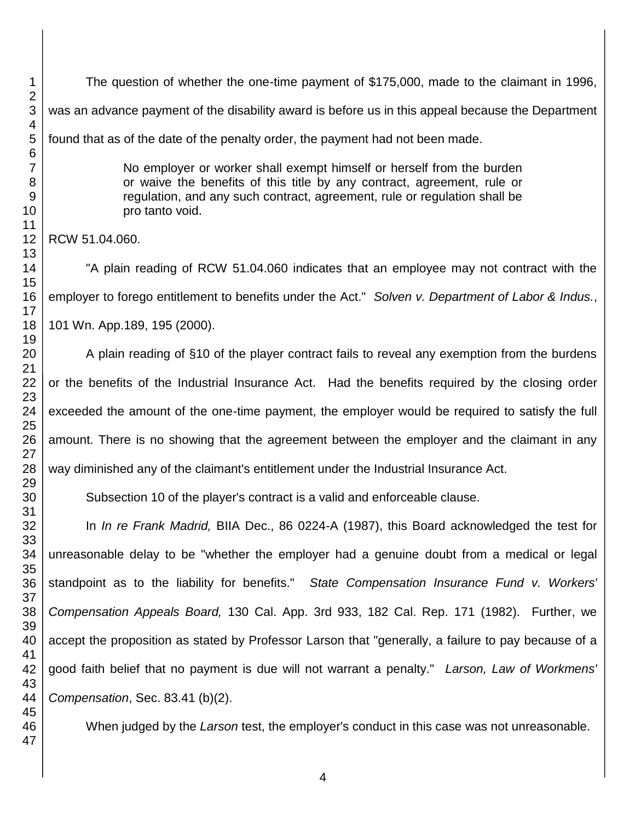The question of whether the one-time payment of \$175,000, made to the claimant in 1996, was an advance payment of the disability award is before us in this appeal because the Department found that as of the date of the penalty order, the payment had not been made.

> No employer or worker shall exempt himself or herself from the burden or waive the benefits of this title by any contract, agreement, rule or regulation, and any such contract, agreement, rule or regulation shall be pro tanto void.

RCW 51.04.060.

"A plain reading of RCW 51.04.060 indicates that an employee may not contract with the employer to forego entitlement to benefits under the Act." *Solven v. Department of Labor & Indus.*, 101 Wn. App.189, 195 (2000).

A plain reading of §10 of the player contract fails to reveal any exemption from the burdens or the benefits of the Industrial Insurance Act. Had the benefits required by the closing order exceeded the amount of the one-time payment, the employer would be required to satisfy the full amount. There is no showing that the agreement between the employer and the claimant in any way diminished any of the claimant's entitlement under the Industrial Insurance Act.

Subsection 10 of the player's contract is a valid and enforceable clause.

In *In re Frank Madrid,* BIIA Dec., 86 0224-A (1987), this Board acknowledged the test for unreasonable delay to be "whether the employer had a genuine doubt from a medical or legal standpoint as to the liability for benefits." *State Compensation Insurance Fund v. Workers' Compensation Appeals Board,* 130 Cal. App. 3rd 933, 182 Cal. Rep. 171 (1982). Further, we accept the proposition as stated by Professor Larson that "generally, a failure to pay because of a good faith belief that no payment is due will not warrant a penalty." *Larson, Law of Workmens' Compensation*, Sec. 83.41 (b)(2).

When judged by the *Larson* test, the employer's conduct in this case was not unreasonable.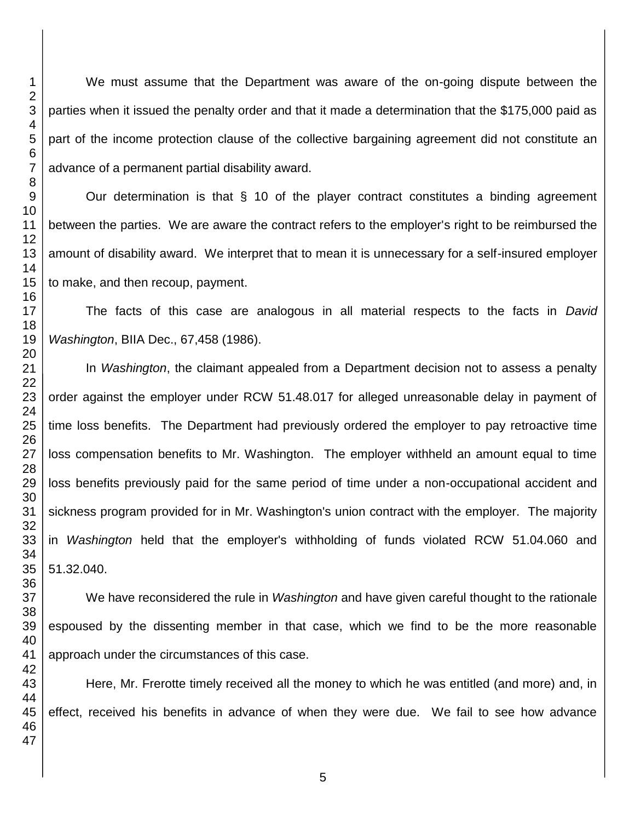We must assume that the Department was aware of the on-going dispute between the parties when it issued the penalty order and that it made a determination that the \$175,000 paid as part of the income protection clause of the collective bargaining agreement did not constitute an advance of a permanent partial disability award.

Our determination is that § 10 of the player contract constitutes a binding agreement between the parties. We are aware the contract refers to the employer's right to be reimbursed the amount of disability award. We interpret that to mean it is unnecessary for a self-insured employer to make, and then recoup, payment.

The facts of this case are analogous in all material respects to the facts in *David Washington*, BIIA Dec., 67,458 (1986).

In *Washington*, the claimant appealed from a Department decision not to assess a penalty order against the employer under RCW 51.48.017 for alleged unreasonable delay in payment of time loss benefits. The Department had previously ordered the employer to pay retroactive time loss compensation benefits to Mr. Washington. The employer withheld an amount equal to time loss benefits previously paid for the same period of time under a non-occupational accident and sickness program provided for in Mr. Washington's union contract with the employer. The majority in *Washington* held that the employer's withholding of funds violated RCW 51.04.060 and 51.32.040.

We have reconsidered the rule in *Washington* and have given careful thought to the rationale espoused by the dissenting member in that case, which we find to be the more reasonable approach under the circumstances of this case.

Here, Mr. Frerotte timely received all the money to which he was entitled (and more) and, in effect, received his benefits in advance of when they were due. We fail to see how advance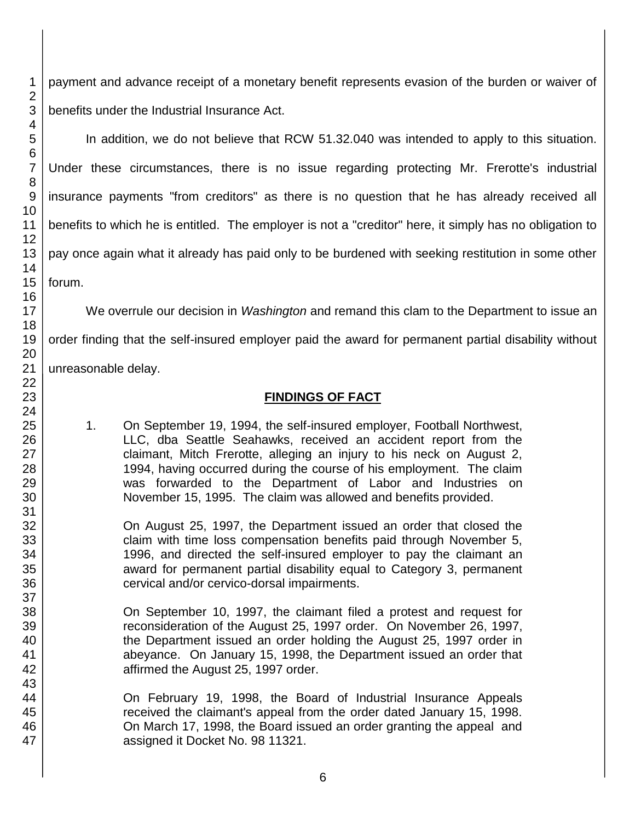payment and advance receipt of a monetary benefit represents evasion of the burden or waiver of benefits under the Industrial Insurance Act.

In addition, we do not believe that RCW 51.32.040 was intended to apply to this situation. Under these circumstances, there is no issue regarding protecting Mr. Frerotte's industrial insurance payments "from creditors" as there is no question that he has already received all benefits to which he is entitled. The employer is not a "creditor" here, it simply has no obligation to pay once again what it already has paid only to be burdened with seeking restitution in some other forum.

We overrule our decision in *Washington* and remand this clam to the Department to issue an order finding that the self-insured employer paid the award for permanent partial disability without unreasonable delay.

#### **FINDINGS OF FACT**

1. On September 19, 1994, the self-insured employer, Football Northwest, LLC, dba Seattle Seahawks, received an accident report from the claimant, Mitch Frerotte, alleging an injury to his neck on August 2, 1994, having occurred during the course of his employment. The claim was forwarded to the Department of Labor and Industries on November 15, 1995. The claim was allowed and benefits provided.

On August 25, 1997, the Department issued an order that closed the claim with time loss compensation benefits paid through November 5, 1996, and directed the self-insured employer to pay the claimant an award for permanent partial disability equal to Category 3, permanent cervical and/or cervico-dorsal impairments.

On September 10, 1997, the claimant filed a protest and request for reconsideration of the August 25, 1997 order. On November 26, 1997, the Department issued an order holding the August 25, 1997 order in abeyance. On January 15, 1998, the Department issued an order that affirmed the August 25, 1997 order.

On February 19, 1998, the Board of Industrial Insurance Appeals received the claimant's appeal from the order dated January 15, 1998. On March 17, 1998, the Board issued an order granting the appeal and assigned it Docket No. 98 11321.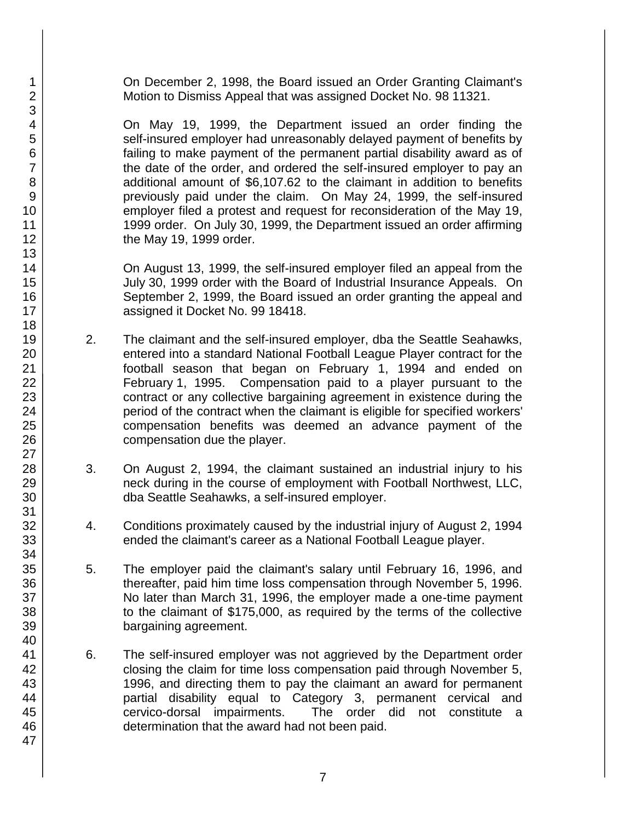On December 2, 1998, the Board issued an Order Granting Claimant's Motion to Dismiss Appeal that was assigned Docket No. 98 11321.

On May 19, 1999, the Department issued an order finding the self-insured employer had unreasonably delayed payment of benefits by failing to make payment of the permanent partial disability award as of the date of the order, and ordered the self-insured employer to pay an additional amount of \$6,107.62 to the claimant in addition to benefits previously paid under the claim. On May 24, 1999, the self-insured employer filed a protest and request for reconsideration of the May 19, 1999 order. On July 30, 1999, the Department issued an order affirming the May 19, 1999 order.

On August 13, 1999, the self-insured employer filed an appeal from the July 30, 1999 order with the Board of Industrial Insurance Appeals. On September 2, 1999, the Board issued an order granting the appeal and assigned it Docket No. 99 18418.

- 2. The claimant and the self-insured employer, dba the Seattle Seahawks, entered into a standard National Football League Player contract for the football season that began on February 1, 1994 and ended on February 1, 1995. Compensation paid to a player pursuant to the contract or any collective bargaining agreement in existence during the period of the contract when the claimant is eligible for specified workers' compensation benefits was deemed an advance payment of the compensation due the player.
- 3. On August 2, 1994, the claimant sustained an industrial injury to his neck during in the course of employment with Football Northwest, LLC, dba Seattle Seahawks, a self-insured employer.
- 4. Conditions proximately caused by the industrial injury of August 2, 1994 ended the claimant's career as a National Football League player.
- 5. The employer paid the claimant's salary until February 16, 1996, and thereafter, paid him time loss compensation through November 5, 1996. No later than March 31, 1996, the employer made a one-time payment to the claimant of \$175,000, as required by the terms of the collective bargaining agreement.
- 6. The self-insured employer was not aggrieved by the Department order closing the claim for time loss compensation paid through November 5, 1996, and directing them to pay the claimant an award for permanent partial disability equal to Category 3, permanent cervical and cervico-dorsal impairments. The order did not constitute a determination that the award had not been paid.